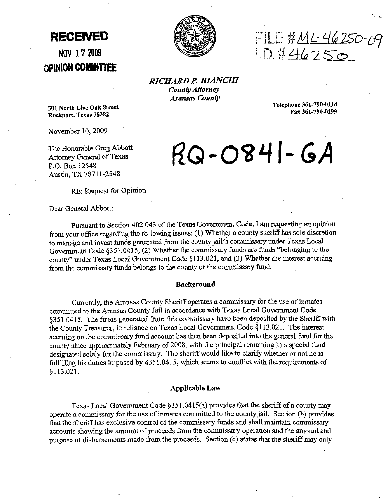**OPINION COMI#ITTEE** 



**RECEIVED**  $\begin{matrix} 1 & 0 & 0 \\ 0 & 0 & 0 \\ 0 & 0 & 0 \end{matrix}$ **NOV 17' 2009** Lvf?4h7~0

*RICHARD* **P.** *BIANCHI County Attorney* **Aransas County** 

**Telephone 361-790-0114 Fax 361-790-0199** 

**301 North Lkc Oalc Street Rockport, Tcxus 78382** 

November 10,2009

The Honorable Greg Abbott Attomey General of Texas **P.O.** Box 12548 Austin, TX 7871 1-2548

# $RO-OS41-GA$

RE: Request for Opinion

Dear General Abbott:

Pursuant to Section 402.043 of the Texas Government Code, I am requesting an opinion from your office regarding the following issues: (1) Whether a county sheriff has sole discretion to manage and invest funds generated from the county jail's commissary under Texas Local Government Code  $\S 351.0415$ , (2) Whether the commissary funds are funds "belonging to the county" under Texas Local Government Code §113.021, and (3) Whether the interest accruing from the commissary funds belongs to the county or the commissary fund.

#### **Background**

Currently, the Aransas County Sheriff operates a commissary for the use of inmates committed to the Aransas County Jail in accordance with Texas Local Government Code §351.0415. The funds generated from this commissary have been deposited by the Sheriff with the County Treasurer, in reliaucc on **Texas** Locd Government Code \$1 13.021. The interest accruing on the commissary fund account has then been deposited into the general fund for the county since approximately February of 2008, with the principal remaining in a special fund designated solely for the commissary. The sheriff would like to clarify whether or not he is fulfilling his duties imposed by  $§351.0415$ , which seems to conflict with the requirements of \$113.021.

# **Applicable Law**

Texas Local Government Code §351.0415(a) provides that the sheriff of a county may operate a commissary for the use of inmates committed to the county jail. Section (b) provides that the sheriff has exclusive control of the commissary funds and shall maintain commissary accounts showing the amount of proceeds from the commissary operation and the amount and purpose of disbursements made from the proceeds. Section (c) states that the sheriff may only